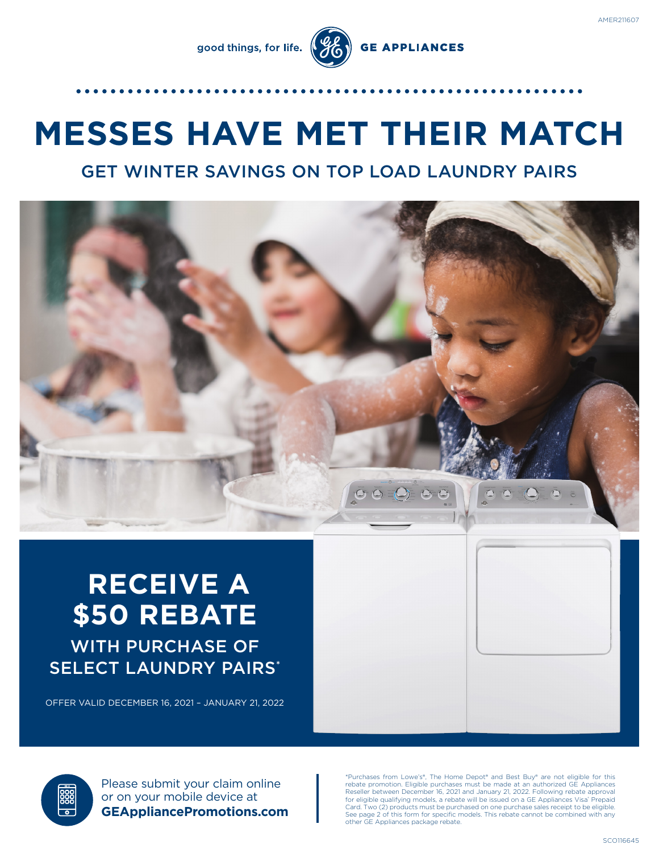good things, for life.



# **MESSES HAVE MET THEIR MATCH**

# GET WINTER SAVINGS ON TOP LOAD LAUNDRY PAIRS



# **RECEIVE A \$50 REBATE** WITH PURCHASE OF SELECT LAUNDRY PAIRS\*

OFFER VALID DECEMBER 16, 2021 – JANUARY 21, 2022

Please submit your claim online or on your mobile device at **GEAppliancePromotions.com**

\*Purchases from Lowe's®, The Home Depot® and Best Buy® are not eligible for this rebate promotion. Eligible purchases must be made at an authorized GE Appliances Reseller between December 16, 2021 and January 21, 2022. Following rebate approval for eligible qualifying models, a rebate will be issued on a GE Appliances Visa® Prepaid Card. Two (2) products must be purchased on one purchase sales receipt to be eligible. See page 2 of this form for specific models. This rebate cannot be combined with any other GE Appliances package rebate.